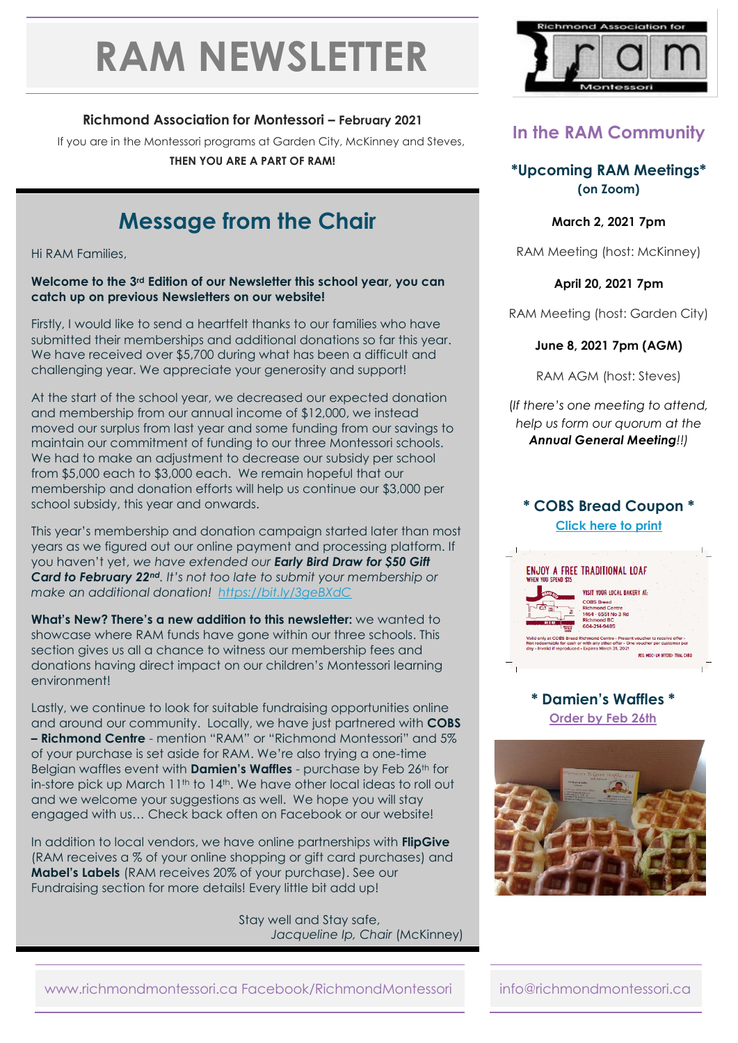# **RAM NEWSLETTER**

### **Richmond Association for Montessori – February 2021**

If you are in the Montessori programs at Garden City, McKinney and Steves, **THEN YOU ARE A PART OF RAM!**

# **Message from the Chair**

Hi RAM Families,

#### **Welcome to the 3rd Edition of our Newsletter this school year, you can catch up on previous Newsletters on our website!**

Firstly, I would like to send a heartfelt thanks to our families who have submitted their memberships and additional donations so far this year. We have received over \$5,700 during what has been a difficult and challenging year. We appreciate your generosity and support!

At the start of the school year, we decreased our expected donation and membership from our annual income of \$12,000, we instead moved our surplus from last year and some funding from our savings to maintain our commitment of funding to our three Montessori schools. We had to make an adjustment to decrease our subsidy per school from \$5,000 each to \$3,000 each. We remain hopeful that our membership and donation efforts will help us continue our \$3,000 per school subsidy, this year and onwards.

This year's membership and donation campaign started later than most years as we figured out our online payment and processing platform. If you haven't yet, *we have extended our Early Bird Draw for \$50 Gift Card to February 22nd. It's not too late to submit your membership or make an additional donation! <https://bit.ly/3geBXdC>*

**What's New? There's a new addition to this newsletter:** we wanted to showcase where RAM funds have gone within our three schools. This section gives us all a chance to witness our membership fees and donations having direct impact on our children's Montessori learning environment!

Lastly, we continue to look for suitable fundraising opportunities online and around our community. Locally, we have just partnered with **COBS – Richmond Centre** - mention "RAM" or "Richmond Montessori" and 5% of your purchase is set aside for RAM. We're also trying a one-time Belgian waffles event with **Damien's Waffles** - purchase by Feb 26th for in-store pick up March 11<sup>th</sup> to 14<sup>th</sup>. We have other local ideas to roll out and we welcome your suggestions as well. We hope you will stay engaged with us… Check back often on Facebook or our website!

In addition to local vendors, we have online partnerships with **FlipGive** (RAM receives a % of your online shopping or gift card purchases) and **Mabel's Labels** (RAM receives 20% of your purchase). See our Fundraising section for more details! Every little bit add up!

> Stay well and Stay safe, *Jacqueline Ip, Chair* (McKinney)



# **In the RAM Community**

**\*Upcoming RAM Meetings\* (on Zoom)**

**March 2, 2021 7pm**

RAM Meeting (host: McKinney)

**April 20, 2021 7pm**

RAM Meeting (host: Garden City)

#### **June 8, 2021 7pm (AGM)**

RAM AGM (host: Steves)

(*If there's one meeting to attend, help us form our quorum at the Annual General Meeting!!)*

#### **\* COBS Bread Coupon \* [Click here to print](http://www.richmondmontessori.ca/wordpress/wp-content/uploads/2021/02/Voucher-RAM-Dough-Raiser.pdf)**



**\* Damien's Waffles \* [Order by Feb 26th](http://www.richmondmontessori.ca/wordpress/wp-content/uploads/2021/02/Damiens-Waffles-RAM-Order-Form-Fillable-PDF.pdf)**



www.richmondmontessori.ca Facebook/RichmondMontessori info@richmondmontessori.ca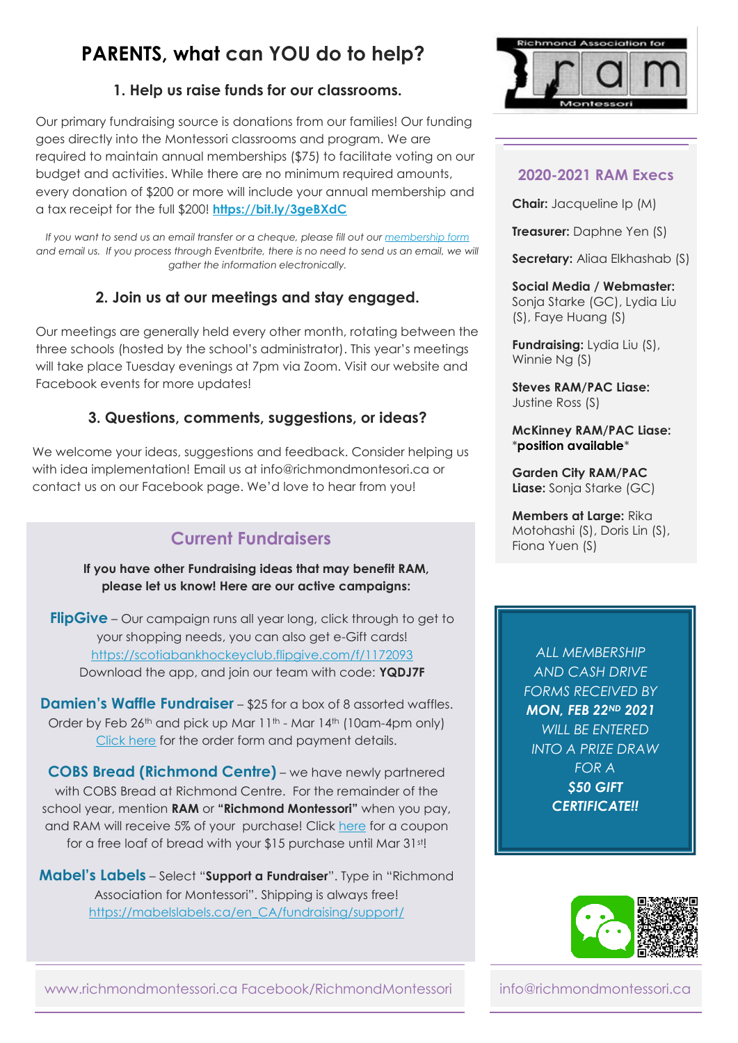# **PARENTS, what can YOU do to help?**

### **1. Help us raise funds for our classrooms.**

Our primary fundraising source is donations from our families! Our funding goes directly into the Montessori classrooms and program. We are required to maintain annual memberships (\$75) to facilitate voting on our budget and activities. While there are no minimum required amounts, every donation of \$200 or more will include your annual membership and a tax receipt for the full \$200! **<https://bit.ly/3geBXdC>**

*If you want to send us an email transfer or a cheque, please fill out ou[r membership form](https://drive.google.com/file/d/1SfBxqjQ7eF1os-8O8gcTfZanJ2rONCZp/view)* and email us. If you process through Eventbrite, there is no need to send us an email, we will *gather the information electronically.*

### **2. Join us at our meetings and stay engaged.**

Our meetings are generally held every other month, rotating between the three schools (hosted by the school's administrator). This year's meetings will take place Tuesday evenings at 7pm via Zoom. Visit our website and Facebook events for more updates!

## **3. Questions, comments, suggestions, or ideas?**

We welcome your ideas, suggestions and feedback. Consider helping us with idea implementation! Email us at info@richmondmontesori.ca or contact us on our Facebook page. We'd love to hear from you!

# **Current Fundraisers**

**PARENTS, what can YO please let us know! Here are our active campaigns: If you have other Fundraising ideas that may benefit RAM,** 

*FlipGive* – Our campaign runs all year long, click through to get to your shopping needs, you can also get e-Gift cards! <https://scotiabankhockeyclub.flipgive.com/f/1172093> Download the app, and join our team with code: **YQDJ7F**

**Damien's Waffle Fundraiser** – \$25 for a box of 8 assorted waffles. Order by Feb 26<sup>th</sup> and pick up Mar 11<sup>th</sup> - Mar 14<sup>th</sup> (10am-4pm only) [Click here](http://www.richmondmontessori.ca/wordpress/wp-content/uploads/2021/02/Damiens-Waffles-RAM-Order-Form-Fillable-PDF.pdf) for the order form and payment details.

**COBS Bread (Richmond Centre)** – we have newly partnered with COBS Bread at Richmond Centre. For the remainder of the school year, mention **RAM** or **"Richmond Montessori"** when you pay, and RAM will receive 5% of your purchase! Click [here](http://www.richmondmontessori.ca/wordpress/wp-content/uploads/2021/02/Voucher-RAM-Dough-Raiser.pdf) for a coupon for a free loaf of bread with your \$15 purchase until Mar 31st!

**Mabel's Labels** – Select "**Support a Fundraiser**". Type in "Richmond Association for Montessori". Shipping is always free! [https://mabelslabels.ca/en\\_CA/fundraising/support/](https://mabelslabels.ca/en_CA/fundraising/support/)



#### **2020-2021 RAM Execs**

**Chair:** Jacqueline Ip (M)

**Treasurer:** Daphne Yen (S)

**Secretary:** Aliaa Elkhashab (S)

#### **Social Media / Webmaster:** Sonja Starke (GC), Lydia Liu (S), Faye Huang (S)

**Fundraising:** Lydia Liu (S), Winnie Ng (S)

**Steves RAM/PAC Liase:** Justine Ross (S)

#### **McKinney RAM/PAC Liase:** \***position available**\*

**Garden City RAM/PAC Liase:** Sonja Starke (GC)

**Members at Large:** Rika Motohashi (S), Doris Lin (S), Fiona Yuen (S)

*ALL MEMBERSHIP AND CASH DRIVE FORMS RECEIVED BY MON, FEB 22ND 2021 WILL BE ENTERED INTO A PRIZE DRAW FOR A \$50 GIFT CERTIFICATE!!*



www.richmondmontessori.ca Facebook/RichmondMontessori info@richmondmontessori.ca